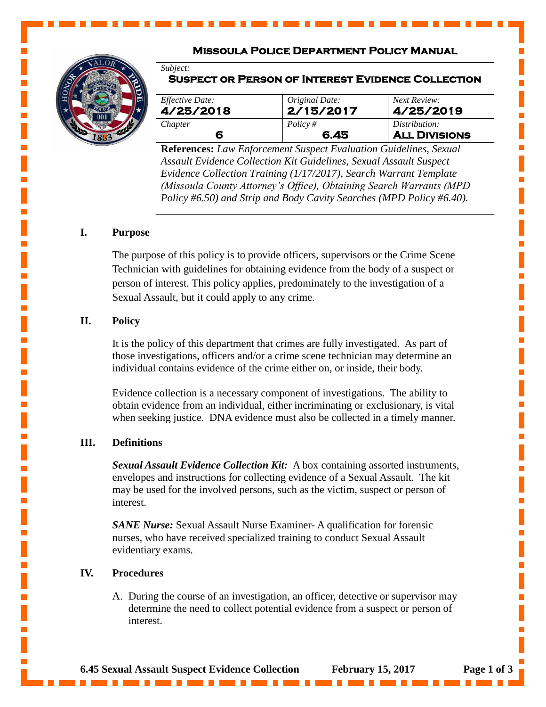# **Missoula Police Department Policy Manual**

**Suspect or Person of Interest Evidence Collection** 



*Subject:*

| <i>Effective Date:</i> | Original Date: | Next Review:         |
|------------------------|----------------|----------------------|
| 4/25/2018              | 2/15/2017      | 4/25/2019            |
| Chapter                | Policy $#$     | Distribution:        |
|                        | 6.45           | <b>ALL DIVISIONS</b> |

**References:** *Law Enforcement Suspect Evaluation Guidelines, Sexual Assault Evidence Collection Kit Guidelines, Sexual Assault Suspect Evidence Collection Training (1/17/2017), Search Warrant Template (Missoula County Attorney's Office), Obtaining Search Warrants (MPD Policy #6.50) and Strip and Body Cavity Searches (MPD Policy #6.40).*

Ē,

L.

Ē,

I.

L.

Ē,

L.

 $\blacksquare$ 

## **I. Purpose**

The purpose of this policy is to provide officers, supervisors or the Crime Scene Technician with guidelines for obtaining evidence from the body of a suspect or person of interest. This policy applies, predominately to the investigation of a Sexual Assault, but it could apply to any crime.

### **II. Policy**

It is the policy of this department that crimes are fully investigated. As part of those investigations, officers and/or a crime scene technician may determine an individual contains evidence of the crime either on, or inside, their body.

Evidence collection is a necessary component of investigations. The ability to obtain evidence from an individual, either incriminating or exclusionary, is vital when seeking justice. DNA evidence must also be collected in a timely manner.

### **III. Definitions**

*Sexual Assault Evidence Collection Kit:* A box containing assorted instruments, envelopes and instructions for collecting evidence of a Sexual Assault. The kit may be used for the involved persons, such as the victim, suspect or person of interest.

**SANE** Nurse: Sexual Assault Nurse Examiner- A qualification for forensic nurses, who have received specialized training to conduct Sexual Assault evidentiary exams.

#### **IV. Procedures**

A. During the course of an investigation, an officer, detective or supervisor may determine the need to collect potential evidence from a suspect or person of interest.

**6.45 Sexual Assault Suspect Evidence Collection February 15, 2017 Page 1 of 3**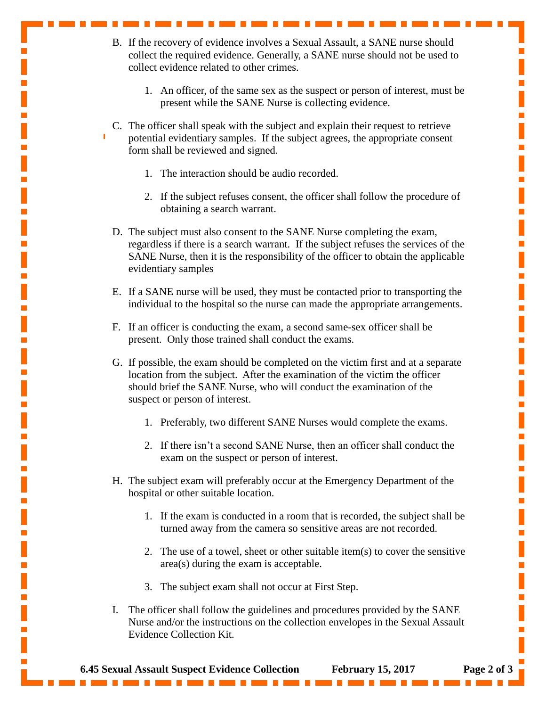- B. If the recovery of evidence involves a Sexual Assault, a SANE nurse should collect the required evidence. Generally, a SANE nurse should not be used to collect evidence related to other crimes.
	- 1. An officer, of the same sex as the suspect or person of interest, must be present while the SANE Nurse is collecting evidence.
- C. The officer shall speak with the subject and explain their request to retrieve potential evidentiary samples. If the subject agrees, the appropriate consent form shall be reviewed and signed.
	- 1. The interaction should be audio recorded.
	- 2. If the subject refuses consent, the officer shall follow the procedure of obtaining a search warrant.
- D. The subject must also consent to the SANE Nurse completing the exam, regardless if there is a search warrant. If the subject refuses the services of the SANE Nurse, then it is the responsibility of the officer to obtain the applicable evidentiary samples
- E. If a SANE nurse will be used, they must be contacted prior to transporting the individual to the hospital so the nurse can made the appropriate arrangements.
- F. If an officer is conducting the exam, a second same-sex officer shall be present. Only those trained shall conduct the exams.
- G. If possible, the exam should be completed on the victim first and at a separate location from the subject. After the examination of the victim the officer should brief the SANE Nurse, who will conduct the examination of the suspect or person of interest.
	- 1. Preferably, two different SANE Nurses would complete the exams.
	- 2. If there isn't a second SANE Nurse, then an officer shall conduct the exam on the suspect or person of interest.
- H. The subject exam will preferably occur at the Emergency Department of the hospital or other suitable location.
	- 1. If the exam is conducted in a room that is recorded, the subject shall be turned away from the camera so sensitive areas are not recorded.
	- 2. The use of a towel, sheet or other suitable item(s) to cover the sensitive area(s) during the exam is acceptable.
	- 3. The subject exam shall not occur at First Step.
- I. The officer shall follow the guidelines and procedures provided by the SANE Nurse and/or the instructions on the collection envelopes in the Sexual Assault Evidence Collection Kit.

п

Ľ

Ē.

Ē,

L.

Ī.

Ī.

Ē,

Ē,

п

 $\overline{\mathbb{R}}$ 

Ē,

Ē.

Ē,

п

Ē,

п